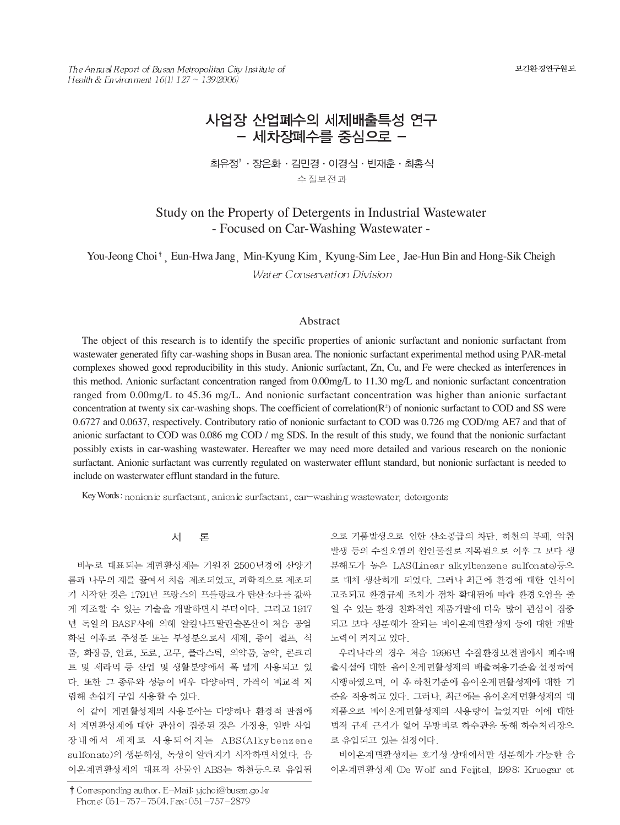보건환경연구원보

The Annual Report of Busan Metropolitan City Institute of Health & Environment  $16(1)$   $127 - 139(2006)$ 

# 사업장 산업폐수의 세제배출특성 연구 - 세차장폐수를 중심으로 -

최유정<sup>†</sup> · 장은화 · 김민경 · 이경심 · 빈재훈 · 최홍식 수질보전과

# Study on the Property of Detergents in Industrial Wastewater - Focused on Car-Washing Wastewater -

You-Jeong Choi<sup>†</sup>, Eun-Hwa Jang, Min-Kyung Kim, Kyung-Sim Lee, Jae-Hun Bin and Hong-Sik Cheigh Water Conservation Division

# Abstract

The object of this research is to identify the specific properties of anionic surfactant and nonionic surfactant from wastewater generated fifty car-washing shops in Busan area. The nonionic surfactant experimental method using PAR-metal complexes showed good reproducibility in this study. Anionic surfactant, Zn, Cu, and Fe were checked as interferences in this method. Anionic surfactant concentration ranged from 0.00mg/L to 11.30 mg/L and nonionic surfactant concentration ranged from 0.00mg/L to 45.36 mg/L. And nonionic surfactant concentration was higher than anionic surfactant concentration at twenty six car-washing shops. The coefficient of correlation $(R<sup>2</sup>)$  of nonionic surfactant to COD and SS were 0.6727 and 0.0637, respectively. Contributory ratio of nonionic surfactant to COD was 0.726 mg COD/mg AE7 and that of anionic surfactant to COD was 0.086 mg COD / mg SDS. In the result of this study, we found that the nonionic surfactant possibly exists in car-washing wastewater. Hereafter we may need more detailed and various research on the nonionic surfactant. Anionic surfactant was currently regulated on wasterwater efflunt standard, but nonionic surfactant is needed to include on wasterwater efflunt standard in the future.

Key Words: nonionic surfactant, anionic surfactant, car-washing wastewater, detergents

#### 对 론

비누로 대표되는 계면활성제는 기원전 2500년경에 산양기 름과 나무의 재를 끓여서 처음 제조되었고, 과학적으로 제조되 기 시작한 것은 1791년 프랑스의 프블랑크가 탄산소다를 값싸 게 제조할 수 있는 기술을 개발하면서 부터이다. 그리고 1917 년 독일의 BASF사에 의해 알킬나프탈린술폰산이 처음 공업 화된 이후로 주성분 또는 부성분으로서 세제, 종이 펄프, 식 품, 화장품, 안료, 도료, 고무, 플라스틱, 의약품, 농약, 콘크리 트 및 세라믹 등 산업 및 생활분양에서 폭 넓게 사용되고 있 다. 또한 그 종류와 성능이 매우 다양하며, 가격이 비교적 저 렴해 손쉽게 구입 사용할 수 있다.

이 같이 계면활성제의 사용분야는 다양하나 환경적 관점에 서 계면활성제에 대한 관심이 집중된 것은 가정용, 일반 사업 장내에서 세제로 사용되어지는 ABS(Alkybenzene sulfonate)의 생분해성, 독성이 알려지기 시작하면서였다. 음 이온계면활성제의 대표적 산물인 ABS는 하천등으로 유입됨

으로 거품발생으로 인한 산소공급의 차단, 하천의 부패, 악취 발생 등의 수질오염의 원인물질로 지목됨으로 이후 그 보다 생 분해도가 높은 LAS(Linear alkylbenzene sulfonate)등으 로 대체 생산하게 되었다. 그러나 최근에 환경에 대한 인식이 고조되고 환경규제 조치가 점차 확대됨에 따라 환경오염을 줄 일 수 있는 환경 친화적인 제품개발에 더욱 많이 관심이 집중 되고 보다 생분해가 잘되는 비이온계면활성제 등에 대한 개발 노력이 커지고 있다.

우리나라의 경우 처음 1996년 수질환경보전법에서 폐수배 출시설에 대한 음이온계면활성제의 배출허용기준을 설정하여 시행하였으며, 이 후 하천기준에 음이온계면활성제에 대한 기 준을 적용하고 있다. 그러나, 최근에는 음이온계면활성제의 대 체품으로 비이온계면활성제의 사용량이 늘었지만 이에 대한 법적 규제 근거가 없어 무방비로 하수관을 통해 하수처리장으 로 유입되고 있는 실정이다.

비이온계면활성제는 호기성 상태에서만 생분해가 가능한 음 이온계면활성제 (De Wolf and Feijtel, 1998; Kruegar et

<sup>†</sup> Corresponding author. E-Mail: yjchoi@busan.go.kr Phone: 051-757-7504, Fax: 051-757-2879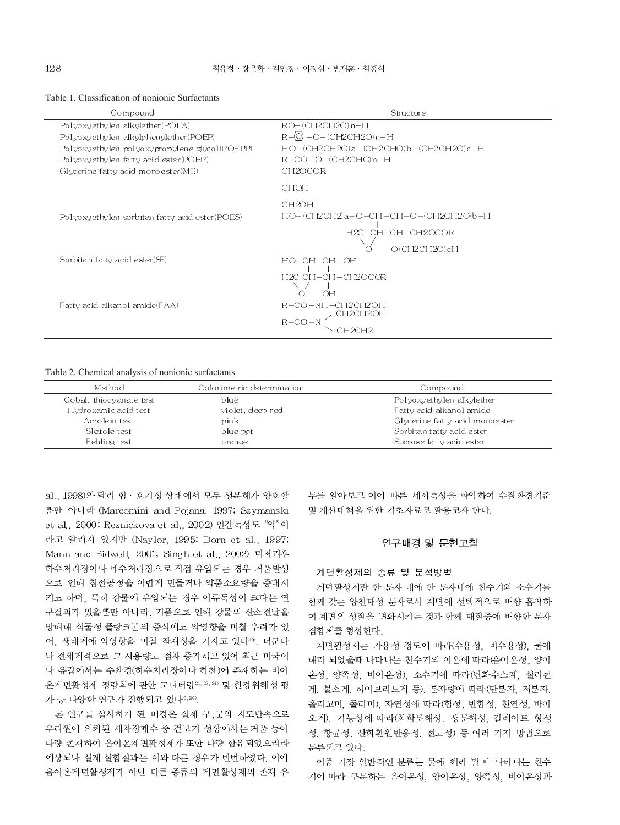Table 1. Classification of nonionic Surfactants

| Compound                                       | Structure                                              |
|------------------------------------------------|--------------------------------------------------------|
| Polyoxyethylen alkylether(POEA)                | $RO-(CH2CH2O)$ n-H                                     |
| Polyoxyethylen alkylphenylether(POEP)          | $R-\langle 0 \rangle$ - O-(CH2CH2O)n-H                 |
| Polyoxyethylen polyoxypropylene glycol (POEPP) | HO-(CH2CH2O)a-(CH2CHO)b-(CH2CH2O)c-H                   |
| Polyoxyethylen fatty acid ester (POEP)         | $R$ – $CO$ – $O$ – $(CH2CHO)$ n – $H$                  |
| Glycerine fatty acid monoester(MG)             | CH2OCOR                                                |
|                                                | <b>CHOH</b>                                            |
|                                                | CH <sub>2</sub> OH                                     |
| Polyoxyethylen sorbitan fatty acid ester(POES) | HO-(CH2CH2)a-O-CH-CH-O-(CH2CH2O)b-H                    |
|                                                | H <sub>2C</sub> CH-CH-CH <sub>2</sub> OCOR             |
|                                                | O(CH2CH2O)cH<br>( )                                    |
| Sorbitan fatty acid ester(SF)                  | $HO-CH-CH-OH$                                          |
|                                                | H <sub>2C</sub> CH-CH-CH <sub>2</sub> OCOR<br>$\cap H$ |
| Fatty acid alkanol amide(FAA)                  | R-CO-NH-CH2CH2OH<br>CH2CH2OH                           |
|                                                | $R-CO-N$                                               |
|                                                | `H2CH2                                                 |

#### Table 2. Chemical analysis of nonionic surfactants

| Method                  | Colorimetric determination | Compound                       |
|-------------------------|----------------------------|--------------------------------|
| Cobalt thiocyanate test | blue                       | Polyoxyethylen alkylether      |
| Hydro xamic acid test   | violet, deep red           | Fatty acid alkanol amide       |
| Acrolein test           | pink                       | Glycerine fatty acid monoester |
| Skatole test            | blue ppt                   | Sorbitan fatty acid ester      |
| Fehling test            | orange                     | Sucrose fatty acid ester       |

al., 1998)와 달리 혐 · 호기성 상태에서 모두 생분해가 양호할 뿐만 아니라 (Marcomini and Pojana, 1997; Szymanski et al., 2000; Reznickova et al., 2002) 인간독성도 "약"이 라고 알려져 있지만 (Naylor, 1995; Dorn et al., 1997; Mann and Bidwell, 2001; Singh et al., 2002) 미처리후 하수처리장이나 폐수처리장으로 직접 유입되는 경우 거품발생 으로 인해 침전공정을 어렵게 만들거나 약품소요량을 증대시 키도 하며, 특히 강물에 유입되는 경우 어류독성이 크다는 연 구결과가 있을뿐만 아니라, 거품으로 인해 강물의 산소전달을 방해해 식물성 플랑크톤의 증식에도 악영향을 미칠 우려가 있 어, 생태계에 악영향을 미칠 잠재성을 가지고 있다<sup>19</sup>, 더군다 나 전세계적으로 그 사용량도 점차 증가하고 있어 최근 미국이 나 유럽에서는 수환경(하수처리장이나 하천)에 존재하는 비이 온계면활성제 정량화에 관한 모니터링24, 20, 20) 및 환경위해성 평 가 등 다양한 연구가 진행되고 있다<sup>9,20)</sup>.

본 연구를 실시하게 된 배경은 실제 구,군의 지도단속으로 우리원에 의뢰된 세차장폐수 중 겉보기 성상에서는 거품 등이 다량 존재하여 음이온계면활성제가 또한 다량 함유되었으리라 예상되나 실제 실험결과는 이와 다른 경우가 빈번하였다. 이에 음이온계면활성제가 아닌 다른 종류의 계면활성제의 존재 유

무를 알아보고 이에 따른 세제특성을 파악하여 수질환경기준 및 개선대책을 위한 기초자료로 활용코자 한다.

# 연구배경 및 문헌고찰

#### 계면활성제의 종류 및 분석방법

계면활성제란 한 분자 내에 한 분자내에 친수기와 소수기를 함께 갖는 양친매성 분자로서 계면에 선택적으로 배향 흡착하 여 계면의 성질을 변화시키는 것과 함께 매질중에 배향한 분자 집합체를 형성한다.

계면활성제는 가용성 정도에 따라(수용성, 비수용성), 물에 해리 되었을때 나타나는 친수기의 이온에 따라(음이온성, 양이 온성, 양쪽성, 비이온성), 소수기에 따라 (탄화수소계, 실리콘 계, 불소계, 하이브리드계 등), 분자량에 따라 (단분자, 저분자, 올리고머, 폴리머), 자연성에 따라(합성, 반합성, 천연성, 바이 오계), 기능성에 따라(화학분해성, 생분해성, 킬레이트 형성 성, 항균성, 산화환원반응성, 전도성) 등 여러 가지 방법으로 분류되고 있다.

이중 가장 일반적인 분류는 물에 해리 될 때 나타나는 친수 기에 따라 구분하는 음이온성, 양이온성, 양쪽성, 비이온성과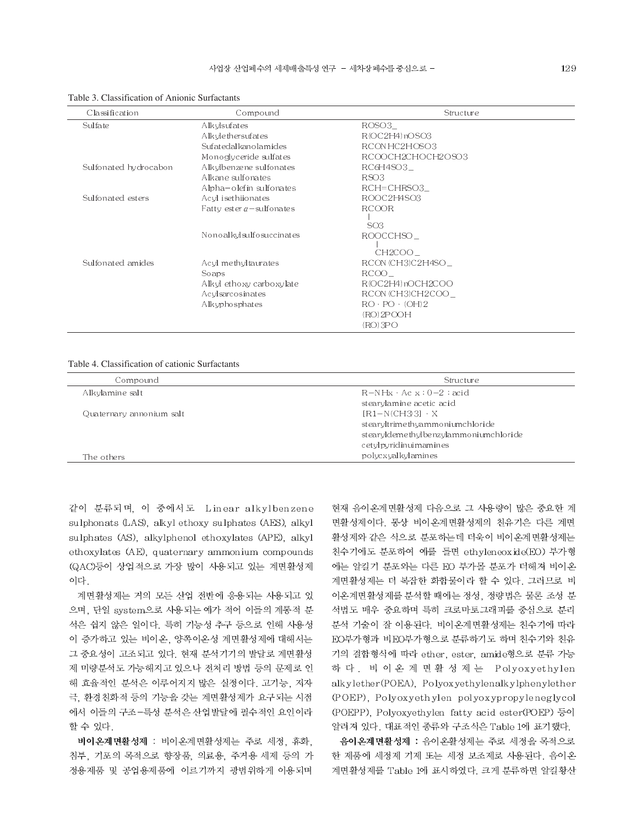| Classification        | Compound                          | Structure                 |  |
|-----------------------|-----------------------------------|---------------------------|--|
| Sulfate               | Alkylsufates                      | ROSO3                     |  |
|                       | Alkylethersufates                 | R(OC2H4) nOSO3            |  |
|                       | Sufatedal kano la mides           | RCONHC2HOSO3              |  |
|                       | Monoglyceride sulfates            | RCOOCH2CHOCH2OSO3         |  |
| Sulfonated hydrocabon | Alkylbenzene sulfonates           | RC6H4SO3                  |  |
|                       | Alkane sulfonates                 | RSO <sub>3</sub>          |  |
|                       | Alpha-olefin sulfonates           | $RCH=CHRSO3$              |  |
| Sulfonated esters     | Acyl isethiionates                | ROOC2H4SO3                |  |
|                       | Fatty ester $\alpha$ – sulfonates | <b>RCOOR</b>              |  |
|                       |                                   |                           |  |
|                       | Nonoalkylsulfosuccinates          | SO <sub>3</sub>           |  |
|                       |                                   | ROOCCHSO                  |  |
|                       |                                   | CH2COO                    |  |
| Sulfonated amides     | Acyl methyltaurates               | RCON (CH3)C2H4SO          |  |
|                       | Soaps                             | RCOO                      |  |
|                       | Alkyl ethoxy carboxylate          | R(OC2H4)nOCH2COO          |  |
|                       | Acylsarcosinates                  | RCON (CH3)CH2COO          |  |
|                       | Alkyphosphates                    | $RO \cdot PO \cdot (OH)2$ |  |
|                       |                                   | (RO)2POOH                 |  |
|                       |                                   | (RO) 3PO                  |  |

Table 3. Classification of Anionic Surfactants

#### Table 4. Classification of cationic Surfactants

| Compound                 | Structure                             |  |
|--------------------------|---------------------------------------|--|
| Alkylamine salt          | $R-NHx + Ac x : 0-2 : acid$           |  |
|                          | stearylamine acetic acid              |  |
| Quaternary annonium salt | $[R1-N(CH3]3] \cdot X$                |  |
|                          | stearyltrimethyammoniumchloride       |  |
|                          | stearyldemethylbenzylammoniumchloride |  |
|                          | cetylpyridinuimamines                 |  |
| The others               | polycxyalkylamines                    |  |

같이 분류되며, 이 중에서도 Linear alkylbenzene sulphonats (LAS), alkyl ethoxy sulphates (AES), alkyl sulphates (AS), alkylphenol ethoxylates (APE), alkyl ethoxylates (AE), quaternary ammonium compounds (QAC)등이 상업적으로 가장 많이 사용되고 있는 계면활성제 이다.

계면활성제는 거의 모든 산업 전반에 응용되는 사용되고 있 으며, 단일 system으로 사용되는 예가 적어 이들의 계통적 분 석은 쉽지 않은 일이다. 특히 기능성 추구 등으로 인해 사용성 이 증가하고 있는 비이온, 양쪽이온성 계면활성제에 대해서는 그 중요성이 고조되고 있다. 현재 분석기기의 발달로 계면활성 제 미량분석도 가능해지고 있으나 전처리 방법 등의 문제로 인 해 효율적인 분석은 이루어지지 많은 실정이다. 고기능, 저자 극, 환경친화적 등의 기능을 갖는 계면활성제가 요구되는 시점 에서 이들의 구조-특성 분석은 산업발달에 필수적인 요인이라 할 수 있다.

비이온계면활성제 : 비이온계면활성제는 주로 세정, 휴화, 침투, 기포의 목적으로 향장품, 의료용, 주거용 세제 등의 가 정용제품 및 공업용제품에 이르기까지 광범위하게 이용되며

현재 음이온계면활성제 다음으로 그 사용량이 많은 중요한 계 면활성제이다. 통상 비이온계면활성제의 친유기은 다른 계면 활성제와 같은 식으로 분포하는데 더욱이 비이온계면활성제는 친수기에도 분포하여 예를 들면 ethyleneoxide(EO) 부가형 에는 알킬기 분포와는 다른 EO 부가몰 분포가 더해져 비이온 계면활성제는 더 복잡한 화합물이라 할 수 있다. 그러므로 비 이온계면활성제를 분석할 때에는 정성, 정량법은 물론 조성 분 석법도 매우 중요하며 특히 크로마토그래피를 중심으로 분리 분석 기술이 잘 이용된다. 비이온계면활성제는 친수기에 따라 EO부가형과 비EO부가형으로 분류하기도 하며 친수기와 친유 기의 결합형식에 따라 ether, ester, amide형으로 분류 가능 하 다 . 비 이 온 계 면 활 성 제 는 Polyoxyethylen alkylether(POEA), Polyoxyethylenalkylphenylether (POEP), Polyoxyeth ylen polyoxypropyleneglycol (POEPP), Polyoxyethylen fatty acid ester(POEP) 등이 알려져 있다. 대표적인 종류와 구조식은 Table 1에 표기했다.

음이온계면활성제 : 음이온활성제는 주로 세정을 목적으로 한 제품에 세정제 기제 또는 세정 보조제로 사용된다. 음이온 계면활성제를 Table 1에 표시하였다. 크게 분류하면 알킬황산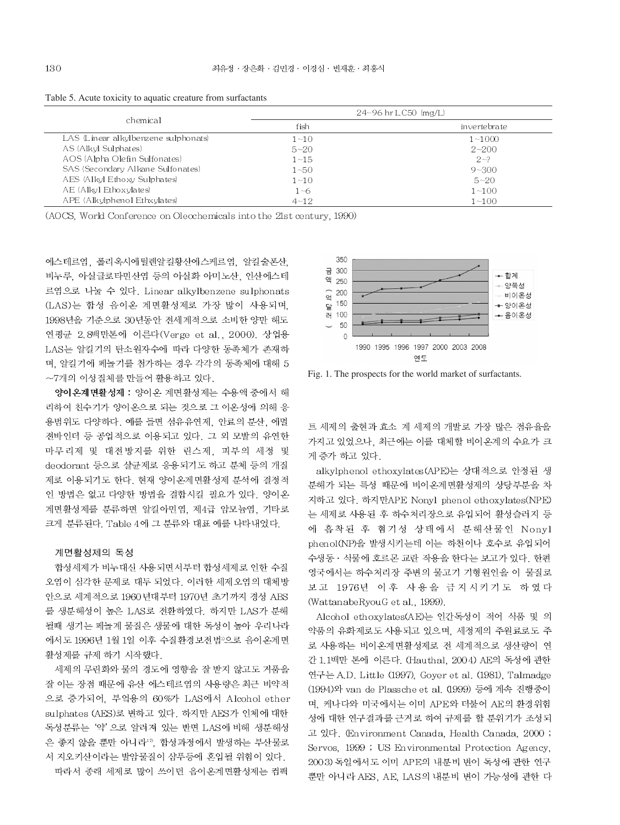|                                      | $24 - 96$ hr LC50 $\langle$ mg/L) |              |  |
|--------------------------------------|-----------------------------------|--------------|--|
| chemical                             | fish                              | invertebrate |  |
| LAS (Linear alkylbenzene sulphonats) | $1 - 10$                          | $1 - 1000$   |  |
| AS (Alkyl Sulphates)                 | $5 - 20$                          | $2 - 200$    |  |
| AOS (Alpha Olefin Sulfonates)        | $1 - 15$                          | $2 - ?$      |  |
| SAS (Secondary Alkane Sulfonates)    | $1 - 50$                          | $9 - 300$    |  |
| AES (Alkyl Ethoxy Sulphates)         | $1 - 10$                          | $5 - 20$     |  |
| AE (Alkyl Ethoxylates)               | $1 - 6$                           | $1 - 100$    |  |
| APE (Alkylphenol Ethxylates)         | $4 - 12$                          | $1 - 100$    |  |

Table 5. Acute toxicity to aquatic creature from surfactants

(AOCS, World Conference on Olecchemicals into the 21st century, 1990)

에스테르염 폴리옥시에틸렌알킬황산에스케르염 알킬술폰산 비누루, 아실글로타민산염 등의 아실화 아미노산, 인산에스테 르염으로 나눌 수 있다. Linear alkylbenzene sulphonats (LAS)는 합성 음이온 계면활성제로 가장 많이 사용되며. 1998년을 기준으로 30년동안 전세계적으로 소비한 양만 해도 연평균 2.8백만톤에 이른다(Verge et al., 2000). 상업용 LAS는 알킬기의 탄소원자수에 따라 다양한 동족체가 존재하 며, 알킬기에 페놀기를 첨가하는 경우 각각의 동족체에 대해 5 ~7개의 이성질체를 만들어 활용하고 있다.

양이온계면활성제 : 양이온 계면활성제는 수용액 중에서 해 리하여 친수기가 양이온으로 되는 것으로 그 이온성에 의해 응 용범위도 다양하다. 예를 들면 섬유유연제, 안료의 분산, 에멀 젼바인더 등 공업적으로 이용되고 있다. 그 외 모발의 유연한 마무리제 및 대전방지를 위한 린스제, 피부의 세정 및 deodorant 등으로 살균제로 응용되기도 하고 분체 등의 개질 제로 이용되기도 한다. 현재 양이온계면활성제 분석에 결정적 인 방법은 없고 다양한 방법을 결합시킬 필요가 있다. 양이온 계면활성제를 분류하면 알킬아민염. 제4급 암모늄염. 기타로 크게 분류된다. Table 4에 그 분류와 대표 예를 나타내었다.

#### 계면활성제의 독성

합성세제가 비누대신 사용되면서부터 합성세제로 인한 수질 오염이 심각한 문제로 대두 되었다. 이러한 세제오염의 대체방 안으로 세계적으로 1960년대부터 1970년 초기까지 경성 ABS 를 생분해성이 높은 LAS로 전환하였다. 하지만 LAS가 분해 될때 생기는 페놀계 물질은 생물에 대한 독성이 높아 우리나라 에서도 1996년 1월 1일 이후 수질환경보전법"으로 음이온계면 활성제를 규제 하기 시작했다.

세제의 무린화와 물의 경도에 영향을 잘 받지 않고도 거품을 잘 이는 장점 때문에 유산 에스테르염의 사용량은 최근 비약적 으로 증가되어, 부엌용의 60%가 LAS에서 Alcohol ether sulphates (AES)로 변하고 있다. 하지만 AES가 인체에 대한 독성분류는 '약' 으로 알려져 있는 반면 LAS에 비해 생분해성 은 좋지 않을 뿐만 아니라<sup>10</sup>, 합성과정에서 발생하는 부산물로 서 지오키산이라는 발암물질이 샴푸등에 혼입될 위험이 있다. 따라서 종래 세제로 많이 쓰이던 음이온계면활성제는 컴팩



Fig. 1. The prospects for the world market of surfactants.

트 세제의 출현과 효소 계 세제의 개발로 가장 많은 점유율을 가지고 있었으나, 최근에는 이를 대체할 비이온계의 수요가 크 게 증가 하고 있다.

alkylphenol ethoxylates (APE)는 상대적으로 안정된 생 분해가 되는 특성 때문에 비이온계면활성제의 상당부분을 차 지하고 있다. 하지만APE Nonyl phenol ethoxylates(NPE) 는 세제로 사용된 후 하수처리장으로 유입되어 활성슬러지 등 에 흡착된 후 혐기성 상태에서 분해산물인 Nonyl phenol(NP)을 발생시키는데 이는 하천이나 호수로 유입되어 수생동 · 식물에 호르몬 교란 작용을 한다는 보고가 있다. 한편 영국에서는 하수처리장 주변의 물고기 기형원인을 이 물질로 보고 1976년 이후 사용을 금지시키기도 하였다 (WattanabeRyouG et al., 1999).

Alcohol ethoxylates(AE)는 인간독성이 적어 식품 및 의 약품의 유화제로도 사용되고 있으며, 세정제의 주원료로도 주 로 사용하는 비이온계면활성제로 전 세계적으로 생산량이 연 간 1.1백만 톤에 이른다. (Hauthal, 2004) AE의 독성에 관한 연구는 A.D. Little (1997), Goyer et al. (1981), Talmadge (1994)와 van de Plassche et al. (1999) 등에 계속 진행중이 며, 케나다와 미국에서는 이미 APE와 더불어 AE의 환경위험 성에 대한 연구결과를 근거로 하여 규제를 할 분위기가 조성되 고 있다. (Environment Canada, Health Canada, 2000; Servos, 1999 ; US Environmental Protection Agency, 2003) 독일에서도 이미 APE의 내분비 변이 독성에 관한 연구 뿐만 아니라 AES, AE, LAS의 내분비 변이 가능성에 관한 다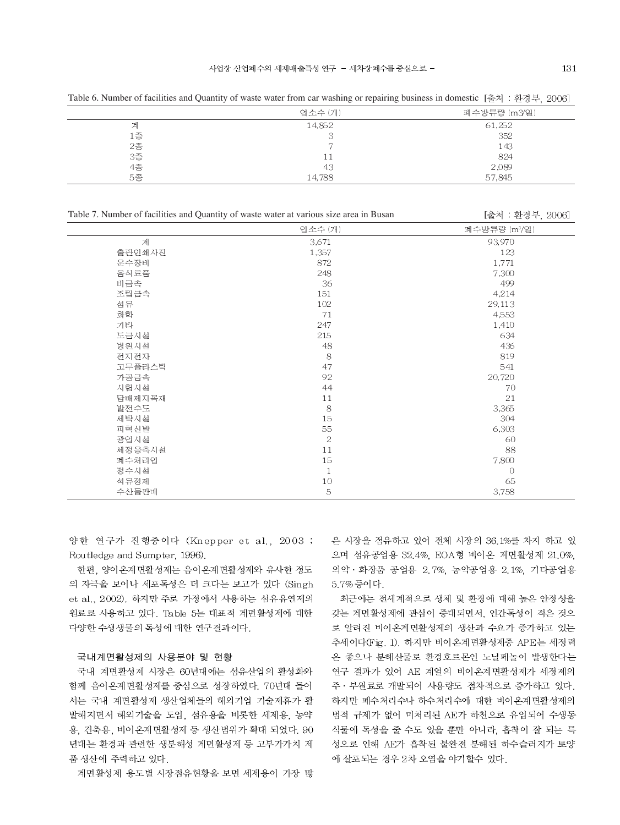|                | 업소수 (개) | 폐수방류량 (m3/일) |
|----------------|---------|--------------|
| 계              | 14,852  | 61,252       |
| 1종             |         | 352          |
| 2종<br>3종<br>4종 |         | 143          |
|                | 11      | 824          |
|                | 43      | 2,089        |
| 5종             | 14,788  | 57,845       |

Table 7. Number of facilities and Quantity of waste water at various size area in Busan

Table 6. Number of facilities and Quantity of waste water from car washing or repairing business in domestic [출처 : 환경부, 2006]

|        | 업소수 (개)      | 폐수방류량 (m3/일) |
|--------|--------------|--------------|
| 계      | 3,671        | 93,970       |
| 출판인쇄사진 | 1,357        | 123          |
| 운수장비   | 872          | 1,771        |
| 음식료품   | 248          | 7,300        |
| 비금속    | 36           | 499          |
| 조립금속   | 151          | 4,214        |
| 섬유     | 102          | 29,113       |
| 화학     | 71           | 4,553        |
| 기타     | 247          | 1,410        |
| 도급시설   | 215          | 634          |
| 병원시설   | 48           | 436          |
| 전지전자   | 8            | 819          |
| 고무플라스틱 | 47           | 541          |
| 가공금속   | 92           | 20,720       |
| 시험시설   | 44           | 70           |
| 답배제지목재 | 11           | 21           |
| 발전수도   | 8            | 3,365        |
| 세탁시설   | 15           | 304          |
| 피혁신발   | 55           | 6,303        |
| 광업시설   | $\sqrt{2}$   | 60           |
| 세정응축시설 | 11           | 88           |
| 폐수처리업  | 15           | 7,800        |
| 정수시설   | $\mathbf{1}$ | $\circ$      |
| 석유정제   | 10           | 65           |
| 수산물판매  | 5            | 3,758        |

양한 연구가 진행중이다 (Knepper et al., 2003 ; Routledge and Sumpter, 1996).

한편, 양이온계면활성제는 음이온계면활성제와 유사한 정도 의 자극을 보이나 세포독성은 더 크다는 보고가 있다 (Singh et al., 2002). 하지만 주로 가정에서 사용하는 섬유유연제의 원료로 사용하고 있다. Table 5는 대표적 계면활성제에 대한 다양한 수생생물의 독성에 대한 연구결과이다.

### 국내계면활성제의 사용분야 및 현황

국내 계면활성제 시장은 60년대에는 섬유산업의 활성화와 함께 음이온계면활성제를 중심으로 성장하였다. 70년대 들어 서는 국내 계면활성제 생산업체들의 해외기업 기술제휴가 활 발해지면서 해외기술을 도입, 섬유용을 비롯한 세제용, 농약 용, 건축용, 비이온계면활성제 등 생산범위가 확대 되었다. 90 년대는 환경과 관련한 생분해성 계면활성제 등 고부가가치 제 품 생산에 주력하고 있다.

계면활성제 용도별 시장점유현황을 보면 세제용이 가장 많

은 시장을 점유하고 있어 전체 시장의 36.1%를 차지 하고 있 으며 섬유공업용 32.4%, EOA형 비이온 계면활성제 21.0%, 의약 · 화장품 공업용 2.7%, 농약공업용 2.1%, 기타공업용 5.7%등이다.

최근에는 전세계적으로 생체 및 환경에 대해 높은 안정성을 갖는 계면활성제에 관심이 증대되면서. 인간독성이 적은 것으 로 알려진 비이온계면활성제의 생산과 수요가 증가하고 있는 추세이다(Fig. 1). 하지만 비이온계면활성제중 APE는 세정력 은 좋으나 분해산물로 환경호르몬인 노닐페놀이 발생한다는 연구 결과가 있어 AE 계열의 비이온계면활성제가 세정제의 주 · 부원료로 개발되어 사용량도 점차적으로 증가하고 있다. 하지만 폐수처리수나 하수처리수에 대한 비이온계면활성제의 법적 규제가 없어 미처리된 AE가 하천으로 유입되어 수생동 식물에 독성을 줄 수도 있을 뿐만 아니라, 흡착이 잘 되는 특 성으로 인해 AE가 흡착된 불완전 분해된 하수슬러지가 토양 에 살포되는 경우 2차 오염을 야기할수 있다.

[출처 : 환경부, 2006]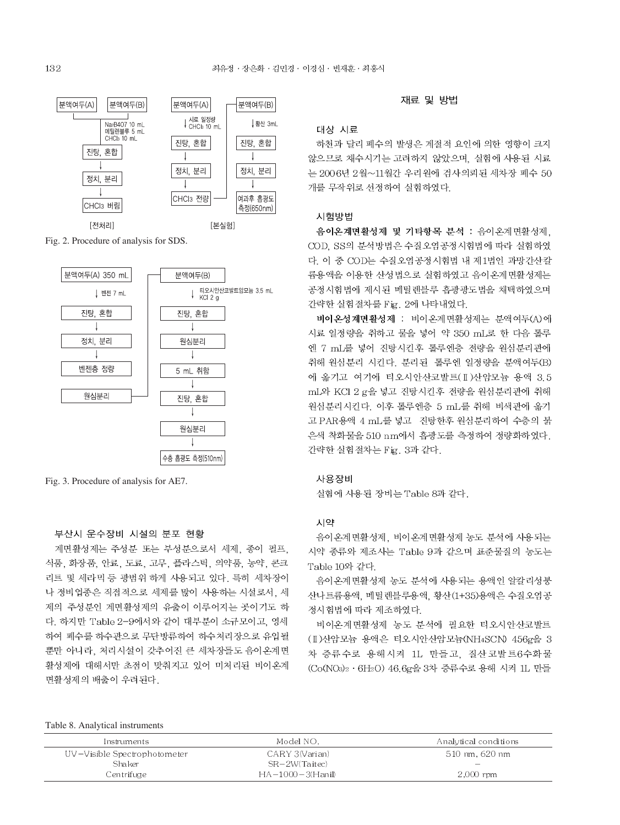

Fig. 2. Procedure of analysis for SDS.



Fig. 3. Procedure of analysis for AE7.

# 부산시 운수장비 시설의 분포 현황

계면활성제는 주성분 또는 부성분으로서 세제, 종이 펄프, 식품, 화장품, 안료, 도료, 고무, 플라스틱, 의약품, 농약, 콘크 리트 및 세라믹 등 광범위 하게 사용되고 있다. 특히 세차장이 나 정비업종은 직접적으로 세제를 많이 사용하는 시설로서, 세 제의 주성분인 계면활성제의 유출이 이루어지는 곳이기도 하 다. 하지만 Table 2-9에서와 같이 대부분이 소규모이고, 영세 하여 폐수를 하수관으로 무단방류하여 하수처리장으로 유입될 뿐만 아니라, 처리시설이 갖추어진 큰 세차장들도 음이온계면 활성제에 대해서만 초점이 맞춰지고 있어 미처리된 비이온계 면활성제의 배출이 우려된다.

#### 재료 및 방법

#### 대상 시료

하천과 달리 폐수의 발생은 계절적 요인에 의한 영향이 크지 않으므로 채수시기는 고려하지 않았으며, 실험에 사용된 시료 는 2006년 2월~11월간 우리원에 검사의뢰된 세차장 폐수 50 개를 무작위로 선정하여 실험하였다.

#### 시험방법

음이온계면활성제 및 기타항목 분석 : 음이온계면활성제. COD. SS의 분석방법은 수질오염공정시험법에 따라 실험하였 다. 이 중 COD는 수질오염공정시험법 내 제1법인 과망간산칼 륨용액을 이용한 산성법으로 실험하였고 음이온계면활성제는 공정시험법에 제시된 메틸렌블루 흡광광도법을 채택하였으며 간략한 실험절차를 Fig. 2에 나타내었다.

비이온성계면활성제 : 비이온계면활성제는 분액여두(A)에 시료 일정량을 취하고 물을 넣어 약 350 mL로 한 다음 톨루 엔 7 mL를 넣어 진탕시킨후 톨루엔층 전량을 원심분리관에 취해 원심분리 시킨다. 분리된 톨루엔 일정량을 분액여두(B) 에 옮기고 여기에 티오시안산코발트(II)산암모늄 용액 3.5 mL와 KCl 2 g을 넣고 진탕시킨후 전량을 원심분리관에 취해 원심분리시킨다. 이후 톨루엔층 5 mL를 취해 비색관에 옮기 고 PAR용액 4 mL를 넣고 진탕한후 원심분리하여 수층의 붉 은색 착화물을 510 nm에서 흡광도를 측정하여 정량화하였다. 간략한 실험절차는 Fig. 3과 같다.

#### 사용장비

실험에 사용된 장비는 Table 8과 같다.

# 시약

음이온계면활성제, 비이온계면활성제 농도 분석에 사용되는 시약 종류와 제조사는 Table 9과 같으며 표준물질의 농도는 Table 10와 같다.

음이온계면활성제 농도 분석에 사용되는 용액인 알칼리성붕 산나트륨용액, 메틸렌블루용액, 황산(1+35)용액은 수질오염공 정시험법에 따라 제조하였다.

비이온계면활성제 농도 분석에 필요한 티오시안산코발트 (I) 산암모늄 용액은 티오시안산암모늄(NH4SCN) 456g을 3 차 증류수로 용해시켜 1L 만들고, 질산코발트6수화물 (Co(NO3)2 · 6H2O) 46.6g을 3차 증류수로 용해 시켜 1L 만들

| Instruments                  | Model NO.        | Analytical conditions |
|------------------------------|------------------|-----------------------|
| UV-Visible Spectrophotometer | CARY 3(Varian)   | 510 nm. 620 nm        |
| Shaker                       | SR-2W(Taitec)    | -                     |
| Centrifuge                   | HA-1000-3(Hanil) | $2,000$ rpm           |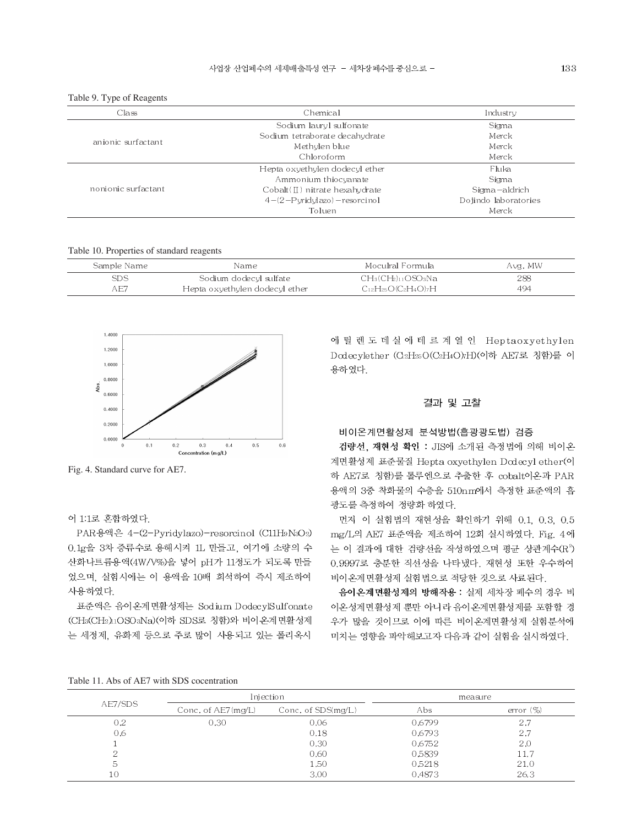| Class               | Chemical                         | Industry             |
|---------------------|----------------------------------|----------------------|
|                     | Sodium lauryl sulfonate          | Sigma                |
| anionic surfactant  | Sodium tetraborate decahydrate   | Merck                |
|                     | Methylen blue                    | Merck                |
|                     | Chloroform                       | Merck                |
| nonionic surfactant | Hepta oxyethylen dodecyl ether   | Fluka                |
|                     | Ammonium thiocyanate             | Sigma                |
|                     | $Cobalt(II)$ nitrate hexahydrate | Sigma-aldrich        |
|                     | $4-(2-Pvridvlazo)$ - resorcinol  | Dojindo laboratories |
|                     | Toluen                           | Merck                |

Table 9. Type of Reagents

Table 10. Properties of standard reagents

| Sample Name | Name                           | -Moculral Formula           | Avg. MW |
|-------------|--------------------------------|-----------------------------|---------|
| <b>SDS</b>  | Sodium dodecyl sulfate         | $CH_3(CH_2)_{11}OSO_3Na$    | 288     |
| AE7         | Hepta oxyethylen dodecyl ether | $C_{12}H_{25}O(C_2H_4O)$ 7H | 494     |



Fig. 4. Standard curve for AE7.

# 어 1:1로 혼합하였다.

PAR용액은 4-(2-Pyridylazo)-resorcinol (C11H9N3O2) 0.1g을 3차 증류수로 용해시켜 1L 만들고, 여기에 소량의 수 산화나트륨용액(4W/V%)을 넣어 pH가 11정도가 되도록 만들 었으며, 실험시에는 이 용액을 10배 회석하여 즉시 제조하여 사용하였다.

표준액은 음이온계면활성제는 Sodium DodecylSulfonate (CH3(CH2)1OSO3Na)(이하 SDS로 칭함)와 비이온계면활성제 는 세정제, 유화제 등으로 주로 많이 사용되고 있는 폴리옥시

에 틸 렌 도 데 실 에 테 르 계 열 인 Heptaoxyethylen Dodecylether (C2H25O(C2H4O)7H)(이하 AE7로 칭함)를 이 용하였다.

# 결과 및 고찰

### 비이온계면활성제 분석방법(흡광광도법) 검증

검량선, 재현성 확인 : JIS에 소개된 측정법에 의해 비이온 계면활성제 표준물질 Hepta oxyethylen Dodecyl ether(이 하 AE7로 칭함)를 톨루엔으로 추출한 후 cobalt이온과 PAR 용액의 3중 착화물의 수층을 510nm에서 측정한 표준액의 흡 광도를 측정하여 정량화 하였다.

먼저 이 실험법의 재현성을 확인하기 위해 0.1 0.3 0.5 mg/L의 AE7 표준액을 제조하여 12회 실시하였다. Fig. 4에 는 이 결과에 대한 검량선을 작성하였으며 평균 상관계수(R<sup>3</sup>) 0.9997로 충분한 직선성을 나타냈다. 재현성 또한 우수하여 비이온계면활성제 실험법으로 적당한 것으로 사료된다.

음이온계면활성제의 방해작용 : 실제 세차장 폐수의 경우 비 이온성계면활성제 뿐만 아니라 음이온계면활성제를 포함할 경 우가 많을 것이므로 이에 따른 비이온계면활성제 실험분석에 미치는 영향을 파악해보고자 다음과 같이 실험을 실시하였다.

| AE7/SDS |                      | Injection            |        | measure      |  |
|---------|----------------------|----------------------|--------|--------------|--|
|         | Conc. of $AE7(mg/L)$ | Conc. of $SDS(mg/L)$ | Abs    | error $(\%)$ |  |
| 0.2     | 0.30                 | 0.06                 | 0.6799 | 2.7          |  |
| 0.6     |                      | 0.18                 | 0.6793 | 2.7          |  |
|         |                      | 0.30                 | 0.6752 | 2.0          |  |
|         |                      | 0.60                 | 0.5839 | 11.7         |  |
| G       |                      | 1.50                 | 0.5218 | 21.0         |  |
| 10      |                      | 3.00                 | 0.4873 | 26.3         |  |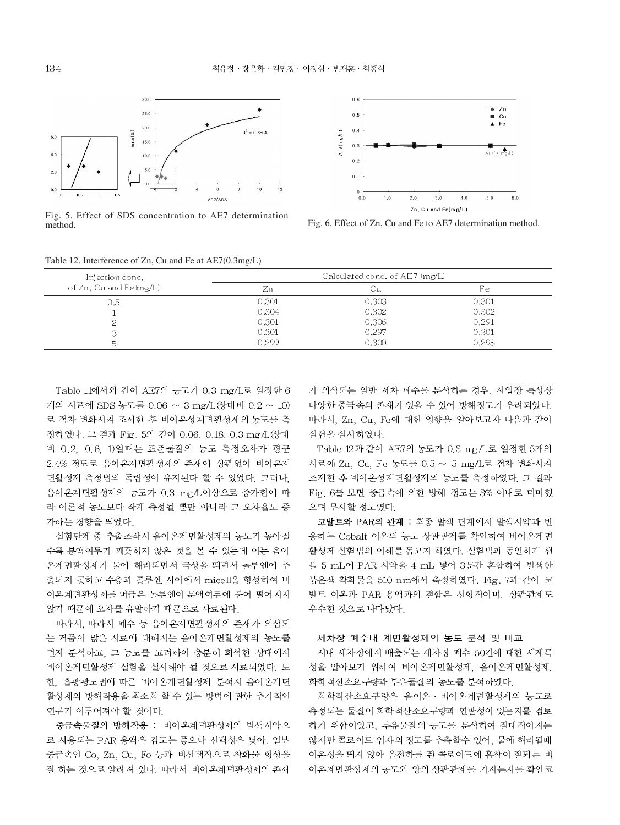

Fig. 5. Effect of SDS concentration to AE7 determination method



Fig. 6. Effect of Zn, Cu and Fe to AE7 determination method.

|  |  |  | Table 12. Interference of Zn, Cu and Fe at AE7(0.3mg/L) |  |
|--|--|--|---------------------------------------------------------|--|
|  |  |  |                                                         |  |

| Injection conc.        |       | Calculated conc. of AE7 (mg/L) |       |
|------------------------|-------|--------------------------------|-------|
| of Zn, Cu and Fe(mg/L) | Zn    | Üι                             | Fε    |
| 0.5                    | 0.301 | 0.303                          | 0.301 |
|                        | 0.304 | 0.302                          | 0.302 |
|                        | 0.301 | 0.306                          | 0.291 |
|                        | 0.301 | 0.297                          | 0.301 |
|                        | 0.299 | 0.300                          | 0.298 |

Table 11에서와 같이 AE7의 농도가 0.3 mg/L로 일정한 6 개의 시료에 SDS 농도를 0.06 ~ 3 mg/L(상대비 0.2 ~ 10) 로 점차 변화시켜 조제한 후 비이온성계면활성제의 농도를 측 정하였다. 그 결과 Fig. 5와 같이 0.06, 0.18, 0.3 mg/L(상대 비 0.2, 0.6, 1)일때는 표준물질의 농도 측정오차가 평균 2.4% 정도로 음이온계면활성제의 존재에 상관없이 비이온계 면활성제 측정법의 독립성이 유지된다 할 수 있었다. 그러나. 음이온계면활성제의 농도가 0.3 mg/L이상으로 증가함에 따 라 이론적 농도보다 작게 측정될 뿐만 아니라 그 오차율도 증 가하는 경향을 띄었다.

실험단계 중 추출조작시 음이온계면활성제의 농도가 높아질 수록 분액여두가 깨끗하지 않은 것을 볼 수 있는데 이는 음이 온계면활성제가 물에 해리되면서 극성을 띄면서 톨루엔에 추 출되지 못하고 수층과 톨루엔 사이에서 micell을 형성하여 비 이온계면활성제를 머금은 톨루엔이 분액여두에 붙어 떨어지지 않기 때문에 오차를 유발하기 때문으로 사료된다.

따라서, 따라서 폐수 등 음이온계면활성제의 존재가 의심되 는 거품이 많은 시료에 대해서는 음이온계면활성제의 농도를 먼저 분석하고, 그 농도를 고려하여 충분히 희석한 상태에서 비이온계면활성제 실험을 실시해야 될 것으로 사료되었다. 또 한. 흡광광도법에 따른 비이온계면활성제 분석시 음이온계면 활성제의 방해작용을 최소화 할 수 있는 방법에 관한 추가적인 연구가 이루어져야 할 것이다.

중금속물질의 방해작용 : 비이온계면활성제의 발색시약으 로 사용되는 PAR 용액은 감도는 좋으나 선택성은 낮아. 일부 중금속인 Co, Zn, Cu, Fe 등과 비선택적으로 착화물 형성을 잘 하는 것으로 알려져 있다. 따라서 비이온계면활성제의 존재

가 의심되는 일반 세차 폐수를 분석하는 경우, 사업장 특성상 다양한 중금속의 존재가 있을 수 있어 방해정도가 우려되었다. 따라서, Zn. Cu. Fe에 대한 영향을 알아보고자 다음과 같이 실험을 실시하였다.

Table 12과 같이 AE7의 농도가 0.3 mg/L로 일정한 5개의 시료에 Zn, Cu, Fe 농도를 0.5 ~ 5 mg/L로 점차 변화시켜 조제한 후 비이온성계면활성제의 농도를 측정하였다. 그 결과 Fig. 6를 보면 중금속에 의한 방해 정도는 3% 이내로 미미했 으며 무시할 정도였다.

코발트와 PAR의 관계 : 최종 발색 단계에서 발색시약과 반 응하는 Cobalt 이온의 농도 상관관계를 확인하여 비이온계면 활성제 실험법의 이해를 돕고자 하였다. 실험법과 동일하게 샘 플 5 mL에 PAR 시약을 4 mL 넣어 3분간 혼합하여 발색한 붉은색 착화물을 510 nm에서 측정하였다. Fig. 7과 같이 코 발트 이온과 PAR 용액과의 결합은 선형적이며, 상관관계도 우수한 것으로 나타났다.

### 세차장 폐수내 계면활성제의 농도 분석 및 비교

시내 세차장에서 배출되는 세차장 폐수 50건에 대한 세제특 성을 알아보기 위하여 비이온계면활성제, 음이온계면활성제, 화학적산소요구량과 부유물질의 농도를 분석하였다.

화학적산소요구량은 음이온 · 비이온계면활성제의 농도로 측정되는 물질이 화학적산소요구량과 연관성이 있는지를 검토 하기 위함이었고, 부유물질의 농도를 분석하여 절대적이지는 않지만 콜로이드 입자의 정도를 추측할수 있어, 물에 해리될때 이온성을 띄지 않아 음전하를 띈 콜로이드에 흡착이 잘되는 비 이온계면활성제의 농도와 양의 상관관계를 가지는지를 확인코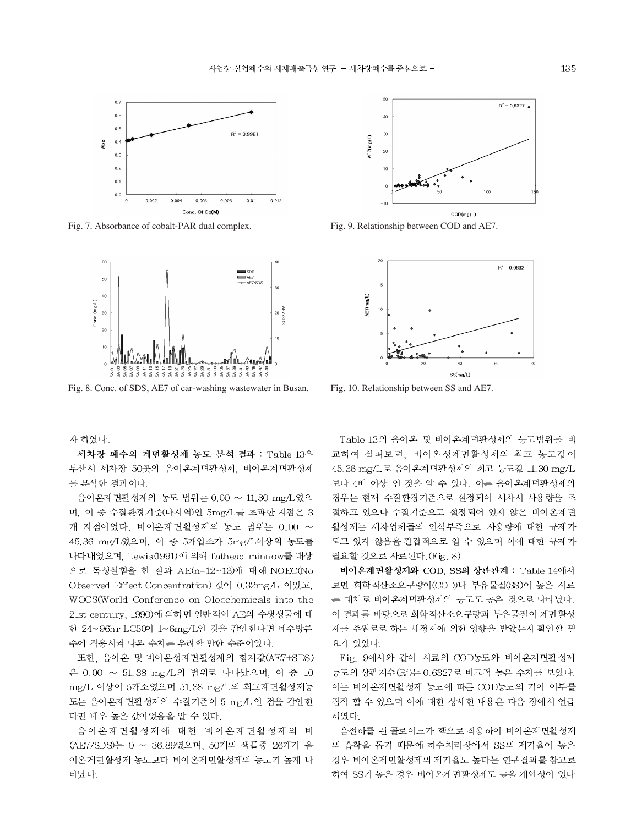

Fig. 7. Absorbance of cobalt-PAR dual complex.



Fig. 8. Conc. of SDS, AE7 of car-washing wastewater in Busan.

자 하였다.

세차장 폐수의 계면활성제 농도 분석 결과 : Table 13은 부산시 세차장 50곳의 음이온계면활성제, 비이온계면활성제 를 분석한 결과이다.

음이온계면활성제의 농도 범위는 0.00 ~ 11.30 mg/L였으 며, 이 중 수질환경기준(나지역)인 5mg/L를 초과한 지점은 3 개 지점이었다. 비이온계면활성제의 농도 범위는 0.00 ~ 45.36 mg/L였으며, 이 중 5개업소가 5mg/L이상의 농도를 나타내었으며, Lewis (1991)에 의해 fathead minnow를 대상 으로 독성실험을 한 결과 AE(n=12~13)에 대해 NOEC(No Observed Effect Concentration) 값이 0.32mg/L 이었고, WOCS(World Conference on Oleochemicals into the 21st century, 1990)에 의하면 일반적인 AE의 수생생물에 대 한 24~96hr LC50이 1~6mg/L인 것을 감안한다면 폐수방류 수에 적용시켜 나온 수치는 우려할 만한 수준이었다.

또한, 음이온 및 비이온성계면활성제의 합계값(AE7+SDS) 은 0.00 ~ 51.38 mg/L의 범위로 나타났으며, 이 중 10 mg/L 이상이 5개소였으며 51.38 mg/L의 최고계면활성제농 도는 음이온계면활성제의 수질기준이 5 mg/L 인 점을 감안한 다면 매우 높은 값이었음을 알 수 있다.

음이온계면활성제에 대한 비이온계면활성제의 비 (AE7/SDS)는 0 ~ 36.89였으며, 50개의 샘플중 26개가 음 이온계면활성제 농도보다 비이온계면활성제의 농도가 높게 나 타났다.



Fig. 9. Relationship between COD and AE7.



Fig. 10. Relationship between SS and AE7.

Table 13의 음이온 및 비이온계면활성제의 농도범위를 비 교하여 살펴보면, 비이온성계면활성제의 최고 농도값이 45.36 mg/L로 음이온계면활성제의 최고 농도값 11.30 mg/L 보다 4배 이상 인 것을 알 수 있다. 이는 음이온계면활성제의 경우는 현재 수질환경기준으로 설정되어 세차시 사용량을 조 절하고 있으나 수질기준으로 설정되어 있지 않은 비이온계면 활성제는 세차업체들의 인식부족으로 사용량에 대한 규제가 되고 있지 않음을 간접적으로 알 수 있으며 이에 대한 규제가 필요할 것으로 사료된다. (Fig. 8)

비이온계면활성제와 COD. SS의 상관관계 : Table 14에서 보면 화학적산소요구량이(COD)나 부유물질(SS)이 높은 시료 는 대체로 비이온계면활성제의 농도도 높은 것으로 나타났다. 이 결과를 바탕으로 화학적산소요구량과 부유물질이 계면활성 제를 주원료로 하는 세정제에 의한 영향을 받았는지 확인할 필 요가 있었다.

Fig. 9에서와 같이 시료의 COD농도와 비이온계면활성제 농도의 상관계수 (R2)는 0.6327로 비교적 높은 수치를 보였다. 이는 비이온계면활성제 농도에 따른 COD농도의 기여 여부를 짐작 할 수 있으며 이에 대한 상세한 내용은 다음 장에서 언급 하였다.

음전하를 띈 콜로이드가 핵으로 작용하여 비이온계면활성제 의 흡착을 돕기 때문에 하수처리장에서 SS의 제거율이 높은 경우 비이온계면활성제의 제거율도 높다는 연구결과를 참고로 하여 SS가 높은 경우 비이온계면활성제도 높을 개연성이 있다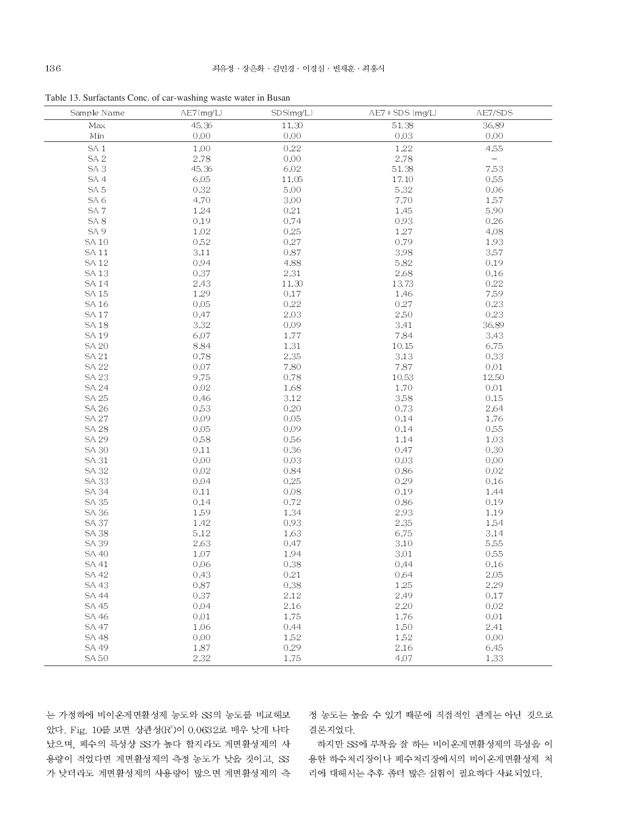Table 13. Surfactants Conc. of car-washing waste water in Busan

| Sample Name     | AE7(mg/L)    | SDS(mg/L)    | AE7+SDS (mg/L) | AE7/SDS           |
|-----------------|--------------|--------------|----------------|-------------------|
| Max             | 45.36        | 11.30        | 51.38          | 36.89             |
| Min             | 0.00         | 0.00         | 0.03           | 0.00              |
| SA <sub>1</sub> | 1.00         | 0.22         | $1.22\,$       | 4,55              |
| SA <sub>2</sub> | 2.78         | 0.00         | 2.78           | $\qquad \qquad -$ |
| SA <sub>3</sub> | 45.36        | 6.02         | 51.38          | 7.53              |
| SA 4            | 6.05         | 11.05        | 17.10          | 0.55              |
| SA <sub>5</sub> | 0.32         | 5.00         | 5.32           | 0.06              |
| SA 6            | 4.70         | 3.00         | 7.70           | 1.57              |
| SA <sub>7</sub> | 1.24         | 0.21         | 1.45           | 5,90              |
| SA <sub>8</sub> | 0.19         | 0.74         | 0.93           | 0.26              |
| SA <sub>9</sub> | 1.02         | 0.25         | 1.27           | 4.08              |
| SA 10           | 0.52         | 0.27         | 0.79           | 1.93              |
| SA 11           | 3.11         | 0.87         | 3.98           | 3.57              |
| <b>SA12</b>     | 0.94         | 4.88         | 5.82           | 0.19              |
| SA 13           | 0.37         | 2.31         | 2.68           | 0.16              |
| SA 14           | 2.43         | 11.30        | 13.73          | 0.22              |
| SA 15           | 1.29         | 0.17         | 1.46           | 7.59              |
| SA 16           | 0.05         | 0.22         | 0.27           | 0.23              |
| <b>SA17</b>     | 0.47         | 2.03         | 2,50           | 0.23              |
| <b>SA18</b>     | 3.32         | 0.09         | 3.41           | 36.89             |
| SA 19           | 6.07         | 1.77         | 7.84           | 3.43              |
| <b>SA 20</b>    | 8.84         | 1.31         | 10.15          | 6.75              |
| SA 21           | 0.78         | 2.35         | $3.13\,$       | 0.33              |
| <b>SA 22</b>    | 0.07         | 7.80         | $7.87\,$       | 0.01              |
| SA 23           | 9.75         | 0.78         | 10.53          | 12.50             |
| <b>SA 24</b>    | 0.02         | 1.68         | 1.70           | 0.01              |
| <b>SA 25</b>    | 0.46         | 3.12         | 3.58           | 0.15              |
| SA 26           | 0.53         | 0.20         | 0.73           | 2.64              |
| <b>SA 27</b>    | 0.09         | 0.05         | 0.14           | 1.76              |
| <b>SA 28</b>    | 0.05         | 0.09         | 0.14           | 0.55              |
| SA 29           |              | 0.56         |                | 1.03              |
| <b>SA 30</b>    | 0.58<br>0.11 | 0.36         | 1.14<br>0.47   | 0.30              |
|                 |              |              |                | 0.00              |
| SA 31<br>SA 32  | 0.00<br>0.02 | 0.03<br>0.84 | 0.03           | 0.02              |
|                 |              |              | 0.86           |                   |
| <b>SA 33</b>    | 0.04         | 0.25         | 0.29           | 0.16<br>1.44      |
| <b>SA 34</b>    | 0.11         | 0.08         | 0.19           |                   |
| SA 35           | 0.14         | 0.72         | 0.86           | 0.19              |
| SA 36           | 1.59         | 1.34         | 2.93           | 1.19              |
| <b>SA 37</b>    | 1.42         | 0.93         | 2.35           | 1.54              |
| <b>SA 38</b>    | 5.12         | 1.63         | 6.75           | 3.14              |
| <b>SA 39</b>    | 2.63         | 0.47         | 3.10           | 5,55              |
| SA 40           | 1.07         | 1.94         | 3.01           | 0.55              |
| SA 41           | 0.06         | 0.38         | 0.44           | 0.16              |
| SA 42           | 0.43         | 0.21         | 0.64           | 2,05              |
| SA 43           | 0.87         | 0.38         | 1.25           | 2.29              |
| <b>SA 44</b>    | 0.37         | 2.12         | 2.49           | 0.17              |
| SA 45           | 0.04         | 2.16         | 2.20           | 0.02              |
| SA 46           | 0.01         | 1.75         | 1.76           | 0.01              |
| <b>SA 47</b>    | 1.06         | 0.44         | 1,50           | 2.41              |
| <b>SA 48</b>    | 0.00         | 1.52         | 1.52           | 0.00              |
| SA 49           | 1.87         | 0.29         | 2.16           | 6.45              |
| SA 50           | 2.32         | 1.75         | 4.07           | 1.33              |

는 가정하에 비이온계면활성제 농도와 SS의 농도를 비교해보 았다. Fig. 10를 보면 상관성(R2)이 0.0632로 매우 낮게 나타 났으며, 폐수의 특성상 SS가 높다 할지라도 계면활성제의 사 용량이 적었다면 계면활성제의 측정 농도가 낮을 것이고, SS 가 낮더라도 계면활성제의 사용량이 많으면 계면활성제의 측 정 농도는 높을 수 있기 때문에 직접적인 관계는 아닌 것으로 결론지었다.

하지만 SS에 부착을 잘 하는 비이온계면활성제의 특성을 이 용한 하수처리장이나 폐수처리장에서의 비이온계면활성제 처 리에 대해서는 추후 좀더 많은 실험이 필요하다 사료되었다.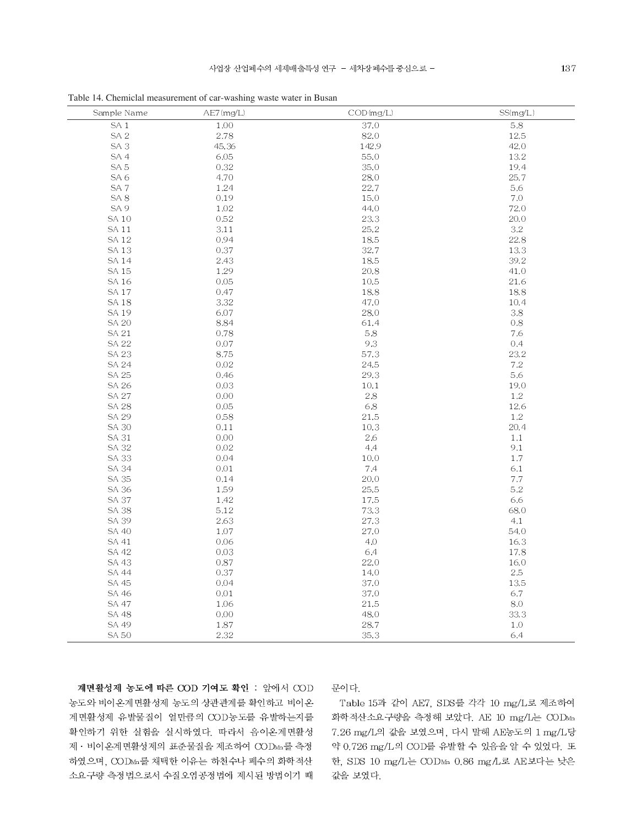| Sample Name     | AE7(mg/L) | COD(mg/L) | SS(mg/L) |
|-----------------|-----------|-----------|----------|
| SA <sub>1</sub> | 1.00      | 37.0      | $5.8\,$  |
| SA <sub>2</sub> | 2.78      | 82.0      | 12.5     |
| SA <sub>3</sub> | 45.36     | 142.9     | 42.0     |
| SA 4            | 6.05      | 55,0      | 13.2     |
| SA <sub>5</sub> | 0.32      | 35,0      | 19.4     |
| SA <sub>6</sub> | 4.70      | 28.0      | 25.7     |
| SA <sub>7</sub> | 1.24      | 22.7      | 5.6      |
| SA <sub>8</sub> | 0.19      | 15.0      | 7.0      |
| SA <sub>9</sub> | 1.02      | 44.0      | 72.0     |
| <b>SA10</b>     | 0.52      | 23.3      | 20.0     |
| SA 11           | 3.11      | 25.2      | 3.2      |
| <b>SA12</b>     | 0.94      | 18.5      | 22.8     |
| SA 13           | 0.37      | 32.7      | 13.3     |
| <b>SA14</b>     | 2.43      | 18.5      | 39.2     |
| SA 15           | 1.29      | 20.8      | 41.0     |
| SA 16           | 0.05      | 10.5      | 21.6     |
| <b>SA17</b>     | 0.47      | 18.8      | 18.8     |
| <b>SA18</b>     | 3.32      | 47.0      | 10.4     |
| <b>SA19</b>     | 6.07      | 28.0      | $3.8\,$  |
| <b>SA 20</b>    | 8.84      | 61.4      | 0.8      |
| SA 21           | 0.78      | 5.8       | 7.6      |
| <b>SA 22</b>    | $0.07\,$  | 9.3       | 0.4      |
| <b>SA 23</b>    | 8.75      | 57.3      | 23.2     |
| <b>SA 24</b>    | 0.02      | 24.5      | $7.2\,$  |
| SA 25           | 0.46      | 29.3      | 5.6      |
| SA 26           | 0.03      | 10.1      | 19.0     |
| <b>SA 27</b>    | 0.00      | $2.8\,$   | 1.2      |
| <b>SA 28</b>    | 0.05      | 6.8       | 12.6     |
| SA 29           | 0.58      | 21.5      | 1.2      |
| <b>SA 30</b>    | 0.11      | 10.3      | 20.4     |
| <b>SA 31</b>    | 0.00      | 2.6       | $1.1\,$  |
| SA 32           | $0.02\,$  | 4,4       | 9,1      |
| <b>SA 33</b>    | 0.04      | 10.0      | 1.7      |
| <b>SA 34</b>    | 0.01      | 7.4       | 6.1      |
| SA 35           | 0.14      | 20.0      | $7.7\,$  |
| SA 36           | 1.59      | 25.5      | 5.2      |
| <b>SA 37</b>    | 1.42      | 17.5      | 6.6      |
| <b>SA 38</b>    | 5.12      | 73.3      | 68.0     |
| SA 39           | 2.63      | 27.3      | 4,1      |
| <b>SA 40</b>    | 1.07      | 27.0      | 54.0     |
| SA 41           | 0.06      | 4,0       | 16.3     |
| SA 42           | 0.03      | 6.4       | 17.8     |
| <b>SA 43</b>    | 0.87      | 22.0      | 16.0     |
| SA 44           | 0.37      | 14.0      | $2.5\,$  |
| SA 45           | 0.04      | 37.0      | 13.5     |
| SA 46           | 0.01      | 37.0      | 6.7      |
| SA 47           | 1.06      | 21.5      | 8.0      |
| <b>SA 48</b>    | 0.00      | 48.0      | 33.3     |
| SA 49           | $1.87\,$  | 28.7      | $1.0\,$  |
| <b>SA 50</b>    | 2.32      | 35.3      | 6,4      |

Table 14. Chemiclal measurement of car-washing waste water in Busan

계면활성제 농도에 따른 COD 기여도 확인 : 앞에서 COD 농도와 비이온계면활성제 농도의 상관관계를 확인하고 비이온 계면활성제 유발물질이 얼만큼의 COD농도를 유발하는지를 확인하기 위한 실험을 실시하였다. 따라서 음이온계면활성 제 · 비이온계면활성제의 표준물질을 제조하여 CODMa를 측정 하였으며, CODMn를 채택한 이유는 하천수나 폐수의 화학적산 소요구량 측정법으로서 수질오염공정법에 제시된 방법이기 때

# 문이다.

Table 15과 같이 AE7, SDS를 각각 10 mg/L로 제조하여 화학적산소요구량을 측정해 보았다. AE 10 mg/L는 CODMn 7.26 mg/L의 값을 보였으며, 다시 말해 AE농도의 1 mg/L당 약 0.726 mg/L의 COD를 유발할 수 있음을 알 수 있었다. 또 한, SDS 10 mg/L는 CODMn 0.86 mg/L로 AE보다는 낮은 값을 보였다.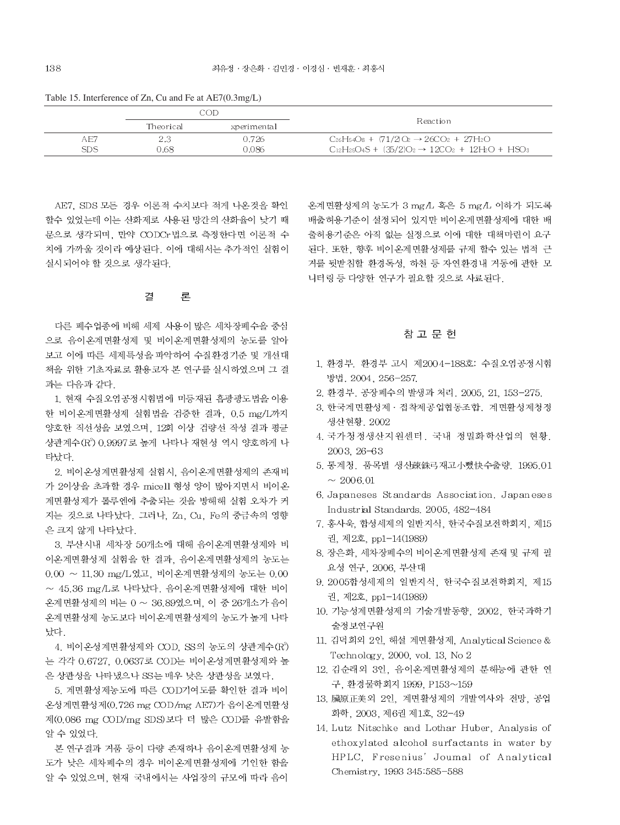| Table 15. Interference of Zn, Cu and Fe at AE7(0.3mg/L) |  |  |  |  |  |
|---------------------------------------------------------|--|--|--|--|--|
|---------------------------------------------------------|--|--|--|--|--|

|            | COD       |             |                                                                    |  |
|------------|-----------|-------------|--------------------------------------------------------------------|--|
|            | Theorical | xperimental | Reaction                                                           |  |
| AE7        |           | 0.726       | $C_{26}H_{54}O_8 + (71/2)O_2 \rightarrow 26CO_2 + 27H_2O$          |  |
| <b>SDS</b> | 0.68      | 0.086       | $C_{12}H_{25}O_4S + (35/2)O_2 \rightarrow 12CO_2 + 12H_2O + HSO_3$ |  |

AE7. SDS 모든 경우 이론적 수치보다 적게 나온것을 확인 할수 있었는데 이는 산화제로 사용된 망간의 산화율이 낮기 때 문으로 생각되며, 만약 CODCr법으로 측정한다면 이론적 수 치에 가까울 것이라 예상된다. 이에 대해서는 추가적인 실험이 실시되어야 할 것으로 생각된다.

#### 곀 론

다른 폐수업종에 비해 세제 사용이 많은 세차장폐수을 중심 으로 음이온계면활성제 및 비이온계면활성제의 농도를 알아 보고 이에 따른 세제특성을 파악하여 수질환경기준 및 개선대 책을 위한 기초자료로 활용코자 본 연구를 실시하였으며 그 결 과는 다음과 같다.

1. 현재 수질오염공정시험법에 미등재된 흡광광도법을 이용 한 비이온계면활성제 실험법을 검증한 결과, 0.5 mg/L까지 양호한 직선성을 보였으며, 12회 이상 검량선 작성 결과 평균 상관계수 (R°) 0.9997로 높게 나타나 재현성 역시 양호하게 나 타났다

2. 비이온성계면활성제 실험시. 음이온계면활성제의 존재비 가 2이상을 초과할 경우 micell 형성 양이 많아지면서 비이온 계면활성제가 톨루엔에 추출되는 것을 방해해 실험 오차가 커 지는 것으로 나타났다. 그러나, Zn, Cu, Fe의 중금속의 영향 은 크지 않게 나타났다.

3. 부산시내 세차장 50개소에 대해 음이온계면활성제와 비 이온계면활성제 실험을 한 결과, 음이온계면활성제의 농도는  $0.00 \sim 11.30$  mg/L였고, 비이온계면활성제의 농도는  $0.00$  $\sim$  45.36 mg/L로 나타났다. 음이온계면활성제에 대한 비이 온계면활성제의 비는 0 ~ 36.89였으며, 이 중 26개소가 음이 온계면활성제 농도보다 비이온계면활성제의 농도가 높게 나타 났다.

4. 비이온성계면활성제와 COD. SS의 농도의 상관계수(R°) 는 각각 0.6727, 0.0637로 COD는 비이온성계면활성제와 높 은 상관성을 나타냈으나 SS는 매우 낮은 상관성을 보였다.

5. 계면활성제농도에 따른 COD기여도를 확인한 결과 비이 온성계면활성제(0.726 mg COD/mg AE7)가 음이온계면활성 제(0.086 mg COD/mg SDS) 보다 더 많은 COD를 유발함을 알 수 있었다.

본 연구결과 거품 등이 다량 존재하나 음이온계면활성제 농 도가 낮은 세차폐수의 경우 비이온계면활성제에 기인한 함을 알 수 있었으며, 현재 국내에서는 사업장의 규모에 따라 음이

온계면활성제의 농도가 3 mg/L 혹은 5 mg/L 이하가 되도록 배출허용기준이 설정되어 있지만 비이온계면활성제에 대한 배 출허용기준은 아직 없는 실정으로 이에 대한 대책마련이 요구 된다. 또한, 향후 비이온계면활성제를 규제 할수 있는 법적 근 거를 뒷받침할 환경독성, 하천 등 자연환경내 거동에 관한 모 니터링 등 다양한 연구가 필요할 것으로 사료된다.

# 참 고 무 헌

- 1. 환경부. 환경부 고시 제2004-188호: 수질오염공정시험 방법. 2004, 256-257.
- 2. 환경부. 공장폐수의 발생과 처리. 2005, 21, 153-275.
- 3. 한국계면활성제 · 접착제공업협동조합, 계면활성제청정 생산현황, 2002
- 4. 국가청정생산지원센터. 국내 정밀화학산업의 현황. 2003.26-63
- 5. 통계청. 품목별 생신疎銖弓재고小뻤快수출량. 1995.01  $\sim 2006.01$
- 6. Japaneses Standards Association. Japaneses Industrial Standards, 2005, 482-484
- 7. 홍사욱, 합성세제의 일반지식, 한국수질보전학회지, 제15 권, 제2호, pp1-14(1989)
- 8. 장은화, 세차장폐수의 비이온계면활성제 존재 및 규제 필 요성 연구, 2006, 부산대
- 9. 2005합성세제의 일반지식, 한국수질보전학회지, 제15 권. 제2호. pp1-14(1989)
- 10. 기능성계면활성제의 기술개발동향, 2002, 한국과학기 술정보연구원
- 11. 김덕희외 2인, 해설 계면활성제, Analytical Science & Technology, 2000, vol. 13, No 2
- 12. 김순래외 3인, 음이온계면활성제의 분해능에 관한 연 구, 환경물학회지 1999, P153~159
- 13. 臟原正美외 2인, 계면활성제의 개발역사와 전망, 공업 화학, 2003, 제6권 제1호, 32-49
- 14. Lutz Nitschke and Lothar Huber, Analysis of ethoxylated alcohol surfactants in water by HPLC, Fresenius' Joumal of Analytical Chemistry, 1993 345:585-588